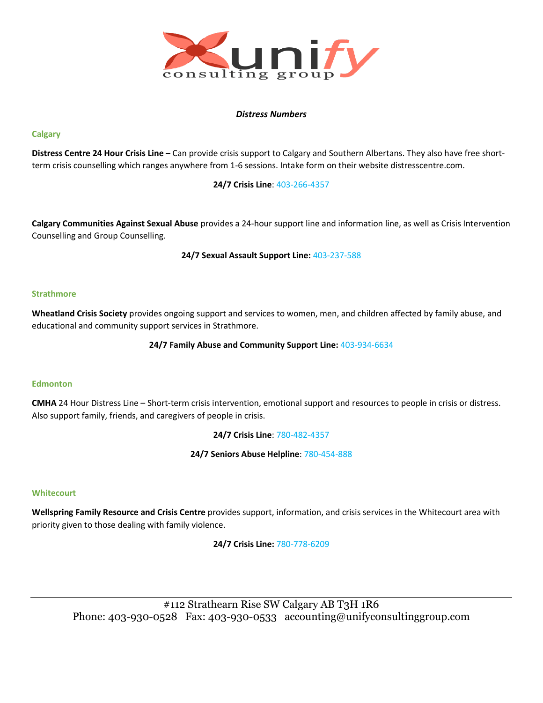

## *Distress Numbers*

## **Calgary**

**Distress Centre 24 Hour Crisis Line** – Can provide crisis support to Calgary and Southern Albertans. They also have free shortterm crisis counselling which ranges anywhere from 1-6 sessions. Intake form on their website distresscentre.com.

## **24/7 Crisis Line**: 403-266-4357

**Calgary Communities Against Sexual Abuse** provides a 24-hour support line and information line, as well as Crisis Intervention Counselling and Group Counselling.

**24/7 Sexual Assault Support Line:** 403-237-588

### **Strathmore**

**Wheatland Crisis Society** provides ongoing support and services to women, men, and children affected by family abuse, and educational and community support services in Strathmore.

### **24/7 Family Abuse and Community Support Line:** 403-934-6634

### **Edmonton**

**CMHA** 24 Hour Distress Line – Short-term crisis intervention, emotional support and resources to people in crisis or distress. Also support family, friends, and caregivers of people in crisis.

**24/7 Crisis Line**: 780-482-4357

**24/7 Seniors Abuse Helpline**: 780-454-888

### **Whitecourt**

**Wellspring Family Resource and Crisis Centre** provides support, information, and crisis services in the Whitecourt area with priority given to those dealing with family violence.

**24/7 Crisis Line:** 780-778-6209

#112 Strathearn Rise SW Calgary AB T3H 1R6 Phone: 403-930-0528 Fax: 403-930-0533 accounting@unifyconsultinggroup.com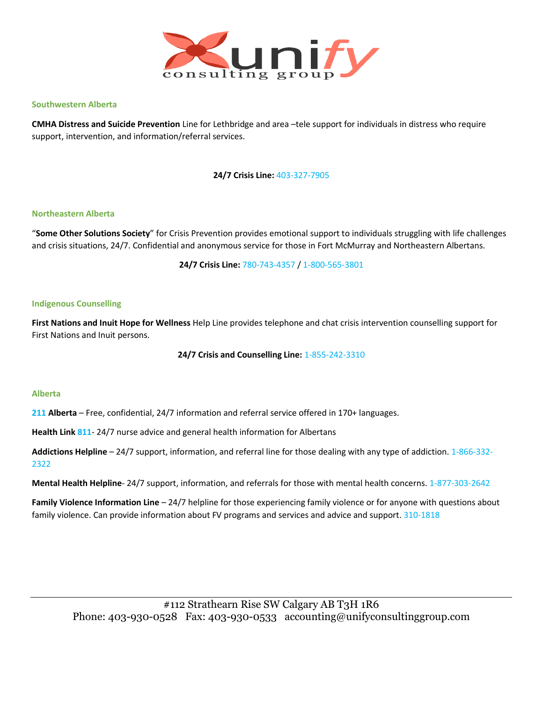

#### **Southwestern Alberta**

**CMHA Distress and Suicide Prevention** Line for Lethbridge and area –tele support for individuals in distress who require support, intervention, and information/referral services.

**24/7 Crisis Line:** 403-327-7905

#### **Northeastern Alberta**

"**Some Other Solutions Society**" for Crisis Prevention provides emotional support to individuals struggling with life challenges and crisis situations, 24/7. Confidential and anonymous service for those in Fort McMurray and Northeastern Albertans.

**24/7 Crisis Line:** 780-743-4357 / 1-800-565-3801

#### **Indigenous Counselling**

**First Nations and Inuit Hope for Wellness** Help Line provides telephone and chat crisis intervention counselling support for First Nations and Inuit persons.

### **24/7 Crisis and Counselling Line:** 1-855-242-3310

#### **Alberta**

**211 Alberta** – Free, confidential, 24/7 information and referral service offered in 170+ languages.

**Health Link 811**- 24/7 nurse advice and general health information for Albertans

**Addictions Helpline** – 24/7 support, information, and referral line for those dealing with any type of addiction. 1-866-332- 2322

**Mental Health Helpline**- 24/7 support, information, and referrals for those with mental health concerns. 1-877-303-2642

**Family Violence Information Line** – 24/7 helpline for those experiencing family violence or for anyone with questions about family violence. Can provide information about FV programs and services and advice and support. 310-1818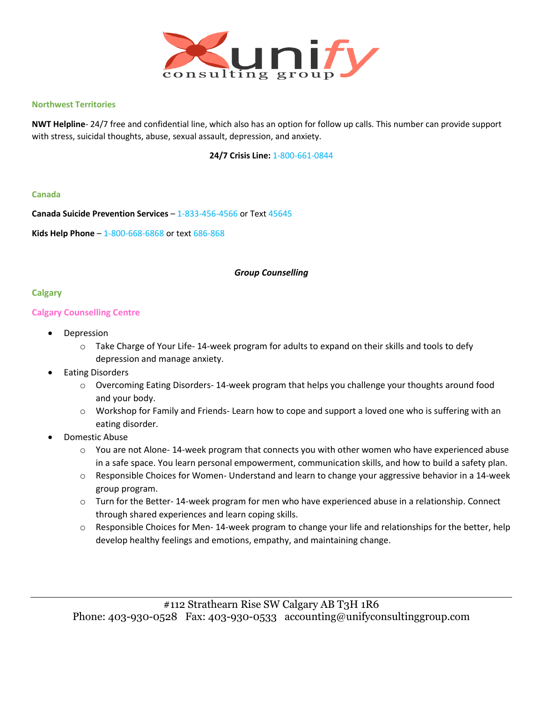

## **Northwest Territories**

**NWT Helpline**- 24/7 free and confidential line, which also has an option for follow up calls. This number can provide support with stress, suicidal thoughts, abuse, sexual assault, depression, and anxiety.

**24/7 Crisis Line:** 1-800-661-0844

### **Canada**

**Canada Suicide Prevention Services** – 1-833-456-4566 or Text 45645

**Kids Help Phone** – 1-800-668-6868 or text 686-868

## *Group Counselling*

## **Calgary**

## **Calgary Counselling Centre**

- **Depression** 
	- o Take Charge of Your Life- 14-week program for adults to expand on their skills and tools to defy depression and manage anxiety.
- Eating Disorders
	- $\circ$  Overcoming Eating Disorders- 14-week program that helps you challenge your thoughts around food and your body.
	- o Workshop for Family and Friends- Learn how to cope and support a loved one who is suffering with an eating disorder.
- Domestic Abuse
	- o You are not Alone- 14-week program that connects you with other women who have experienced abuse in a safe space. You learn personal empowerment, communication skills, and how to build a safety plan.
	- $\circ$  Responsible Choices for Women- Understand and learn to change your aggressive behavior in a 14-week group program.
	- $\circ$  Turn for the Better- 14-week program for men who have experienced abuse in a relationship. Connect through shared experiences and learn coping skills.
	- o Responsible Choices for Men- 14-week program to change your life and relationships for the better, help develop healthy feelings and emotions, empathy, and maintaining change.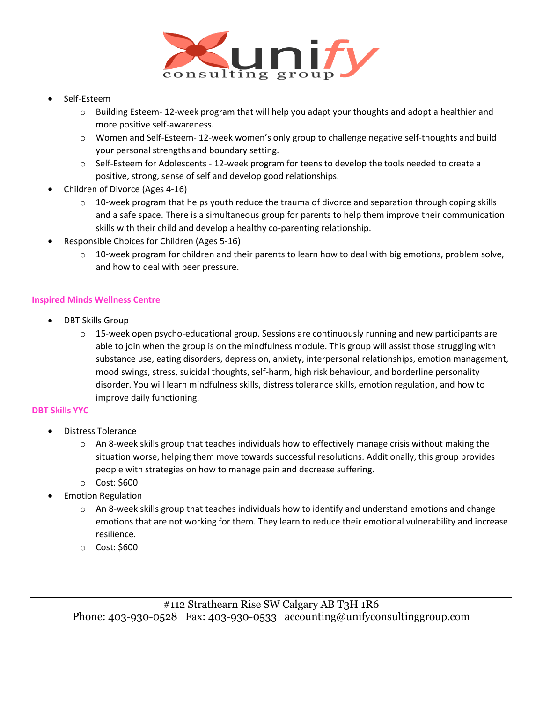

- Self-Esteem
	- o Building Esteem- 12-week program that will help you adapt your thoughts and adopt a healthier and more positive self-awareness.
	- o Women and Self-Esteem- 12-week women's only group to challenge negative self-thoughts and build your personal strengths and boundary setting.
	- $\circ$  Self-Esteem for Adolescents 12-week program for teens to develop the tools needed to create a positive, strong, sense of self and develop good relationships.
- Children of Divorce (Ages 4-16)
	- $\circ$  10-week program that helps youth reduce the trauma of divorce and separation through coping skills and a safe space. There is a simultaneous group for parents to help them improve their communication skills with their child and develop a healthy co-parenting relationship.
- Responsible Choices for Children (Ages 5-16)
	- $\circ$  10-week program for children and their parents to learn how to deal with big emotions, problem solve, and how to deal with peer pressure.

## **Inspired Minds Wellness Centre**

- DBT Skills Group
	- $\circ$  15-week open psycho-educational group. Sessions are continuously running and new participants are able to join when the group is on the mindfulness module. This group will assist those struggling with substance use, eating disorders, depression, anxiety, interpersonal relationships, emotion management, mood swings, stress, suicidal thoughts, self-harm, high risk behaviour, and borderline personality disorder. You will learn mindfulness skills, distress tolerance skills, emotion regulation, and how to improve daily functioning.

## **DBT Skills YYC**

- Distress Tolerance
	- $\circ$  An 8-week skills group that teaches individuals how to effectively manage crisis without making the situation worse, helping them move towards successful resolutions. Additionally, this group provides people with strategies on how to manage pain and decrease suffering.
	- o Cost: \$600
- Emotion Regulation
	- $\circ$  An 8-week skills group that teaches individuals how to identify and understand emotions and change emotions that are not working for them. They learn to reduce their emotional vulnerability and increase resilience.
	- o Cost: \$600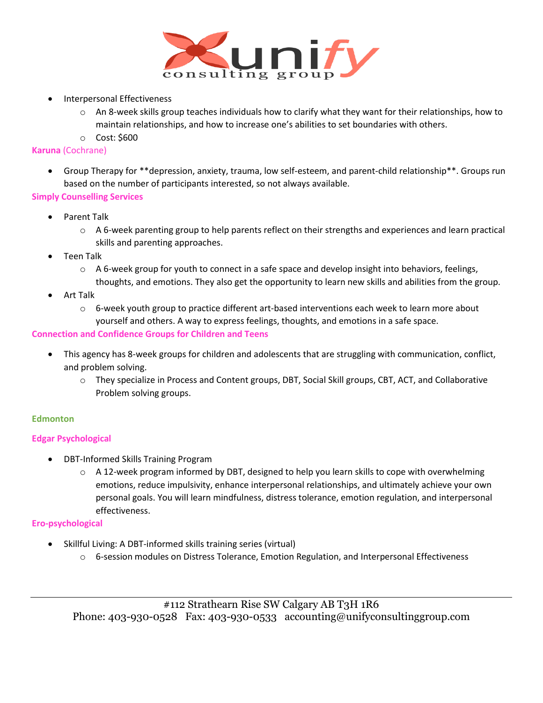

- Interpersonal Effectiveness
	- $\circ$  An 8-week skills group teaches individuals how to clarify what they want for their relationships, how to maintain relationships, and how to increase one's abilities to set boundaries with others.
	- o Cost: \$600

# **Karuna** (Cochrane)

• Group Therapy for \*\*depression, anxiety, trauma, low self-esteem, and parent-child relationship\*\*. Groups run based on the number of participants interested, so not always available.

# **Simply Counselling Services**

- Parent Talk
	- o A 6-week parenting group to help parents reflect on their strengths and experiences and learn practical skills and parenting approaches.
- Teen Talk
	- $\circ$  A 6-week group for youth to connect in a safe space and develop insight into behaviors, feelings, thoughts, and emotions. They also get the opportunity to learn new skills and abilities from the group.
- Art Talk
	- $\circ$  6-week youth group to practice different art-based interventions each week to learn more about yourself and others. A way to express feelings, thoughts, and emotions in a safe space.

# **Connection and Confidence Groups for Children and Teens**

- This agency has 8-week groups for children and adolescents that are struggling with communication, conflict, and problem solving.
	- o They specialize in Process and Content groups, DBT, Social Skill groups, CBT, ACT, and Collaborative Problem solving groups.

# **Edmonton**

# **Edgar Psychological**

- DBT-Informed Skills Training Program
	- $\circ$  A 12-week program informed by DBT, designed to help you learn skills to cope with overwhelming emotions, reduce impulsivity, enhance interpersonal relationships, and ultimately achieve your own personal goals. You will learn mindfulness, distress tolerance, emotion regulation, and interpersonal effectiveness.

# **Ero-psychological**

- Skillful Living: A DBT-informed skills training series (virtual)
	- o 6-session modules on Distress Tolerance, Emotion Regulation, and Interpersonal Effectiveness

#112 Strathearn Rise SW Calgary AB T3H 1R6 Phone: 403-930-0528 Fax: 403-930-0533 accounting@unifyconsultinggroup.com